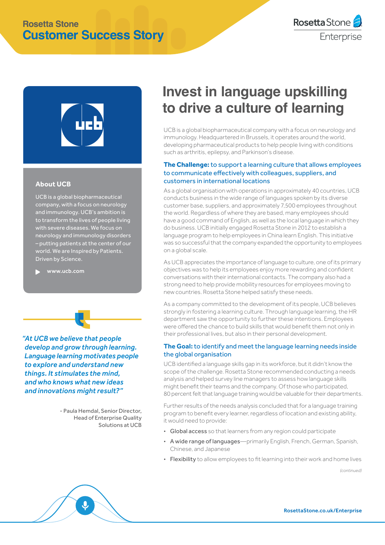## **Rosetta Stone Customer Success Story**





#### **About UCB**

UCB is a global biopharmaceutical company, with a focus on neurology and immunology. UCB's ambition is to transform the lives of people living with severe diseases. We focus on neurology and immunology disorders – putting patients at the center of our world. We are Inspired by Patients. Driven by Science.

[www.ucb.com](https://www.ucb.com/)

*"At UCB we believe that people develop and grow through learning. Language learning motivates people to explore and understand new things. It stimulates the mind, and who knows what new ideas and innovations might result?"*

> - Paula Hemdal, Senior Director, Head of Enterprise Quality Solutions at UCB

# **Invest in language upskilling to drive a culture of learning**

UCB is a global biopharmaceutical company with a focus on neurology and immunology. Headquartered in Brussels, it operates around the world, developing pharmaceutical products to help people living with conditions such as arthritis, epilepsy, and Parkinson's disease.

#### **The Challenge:**to support a learning culture that allows employees to communicate effectively with colleagues, suppliers, and customers in international locations

As a global organisation with operations in approximately 40 countries, UCB conducts business in the wide range of languages spoken by its diverse customer base, suppliers, and approximately 7,500 employees throughout the world. Regardless of where they are based, many employees should have a good command of English, as well as the local language in which they do business. UCB initially engaged Rosetta Stone in 2012 to establish a language program to help employees in China learn English. This initiative was so successful that the company expanded the opportunity to employees on a global scale.

As UCB appreciates the importance of language to culture, one of its primary objectives was to help its employees enjoy more rewarding and confident conversations with their international contacts. The company also had a strong need to help provide mobility resources for employees moving to new countries. Rosetta Stone helped satisfy these needs.

As a company committed to the development of its people, UCB believes strongly in fostering a learning culture. Through language learning, the HR department saw the opportunity to further these intentions. Employees were offered the chance to build skills that would benefit them not only in their professional lives, but also in their personal development.

#### **The Goal:**to identify and meet the language learning needs inside the global organisation

UCB identified a language skills gap in its workforce, but it didn't know the scope of the challenge. Rosetta Stone recommended conducting a needs analysis and helped survey line managers to assess how language skills might benefit their teams and the company. Of those who participated, 80 percent felt that language training would be valuable for their departments.

Further results of the needs analysis concluded that for a language training program to benefit every learner, regardless of location and existing ability, it would need to provide:

- Global access so that learners from any region could participate
- A wide range of languages—primarily English, French, German, Spanish, Chinese, and Japanese
- Flexibility to allow employees to fit learning into their work and home lives

*(continued)*